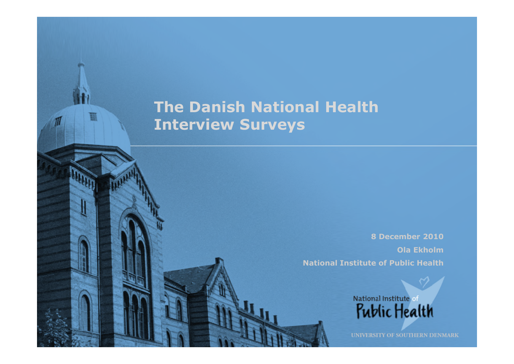# **The Danish National Health Interview Surveys**

**8 December 2010 Ola Ekholm National Institute of Public Health** 

> National Institute of Public Health

**UNIVERSITY OF SOUTHERN DENMARK**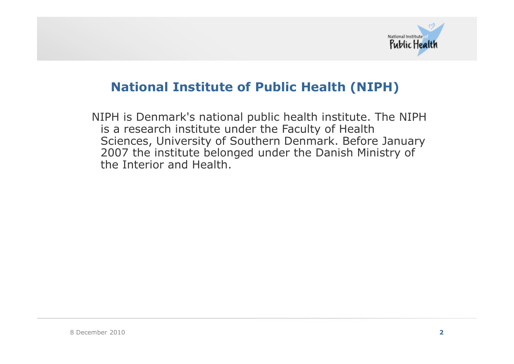

### **National Institute of Public Health (NIPH)**

NIPH is Denmark's national public health institute. The NIPH is a research institute under the Faculty of Health Sciences, University of Southern Denmark. Before January 2007 the institute belonged under the Danish Ministry of the Interior and Health.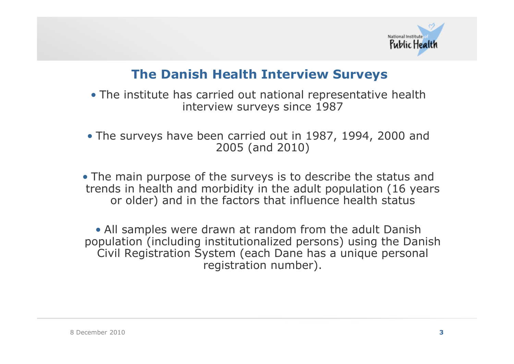

### **The Danish Health Interview Surveys**

• The institute has carried out national representative health interview surveys since 1987

• The surveys have been carried out in 1987, 1994, 2000 and 2005 (and 2010)

• The main purpose of the surveys is to describe the status and trends in health and morbidity in the adult population (16 years or older) and in the factors that influence health status

• All samples were drawn at random from the adult Danish population (including institutionalized persons) using the Danish Civil Registration System (each Dane has a unique personal registration number).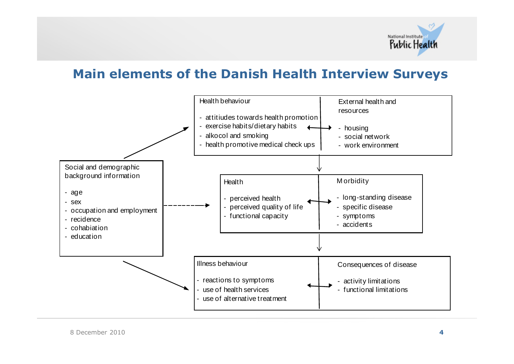

#### **Main elements of the Danish Health Interview Surveys**

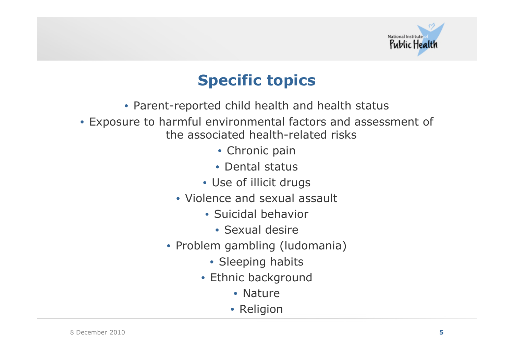

# **Specific topics**

- Parent-reported child health and health status
- Exposure to harmful environmental factors and assessment of the associated health-related risks
	- Chronic pain
	- Dental status
	- Use of illicit drugs
	- Violence and sexual assault
		- Suicidal behavior
			- Sexual desire
	- Problem gambling (ludomania)
		- Sleeping habits
		- Ethnic background
			- Nature
			- Religion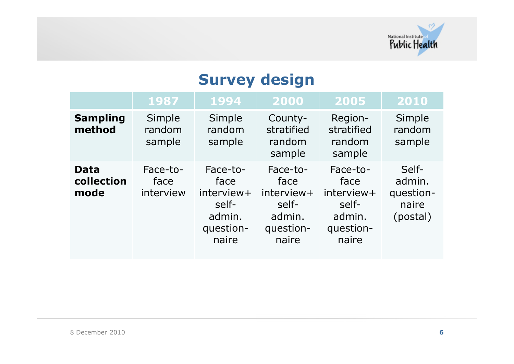

# **Survey design**

|                                   | 1987                          | 1994                                                                    | 2000                                                                    | 2005                                                                    | 2010                                              |
|-----------------------------------|-------------------------------|-------------------------------------------------------------------------|-------------------------------------------------------------------------|-------------------------------------------------------------------------|---------------------------------------------------|
| <b>Sampling</b><br>method         | Simple<br>random<br>sample    | Simple<br>random<br>sample                                              | County-<br>stratified<br>random<br>sample                               | Region-<br>stratified<br>random<br>sample                               | Simple<br>random<br>sample                        |
| <b>Data</b><br>collection<br>mode | Face-to-<br>face<br>interview | Face-to-<br>face<br>interview+<br>self-<br>admin.<br>question-<br>naire | Face-to-<br>face<br>interview+<br>self-<br>admin.<br>question-<br>naire | Face-to-<br>face<br>interview+<br>self-<br>admin.<br>question-<br>naire | Self-<br>admin.<br>question-<br>naire<br>(postal) |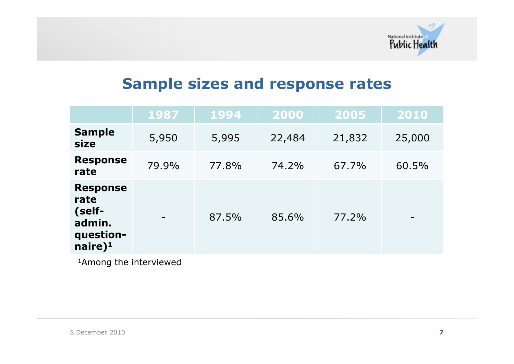

# **Sample sizes and response rates**

|                                                                                    | 1987  | 1994  | 2000   | 2005   | 2010   |
|------------------------------------------------------------------------------------|-------|-------|--------|--------|--------|
| <b>Sample</b><br>size                                                              | 5,950 | 5,995 | 22,484 | 21,832 | 25,000 |
| <b>Response</b><br>rate                                                            | 79.9% | 77.8% | 74.2%  | 67.7%  | 60.5%  |
| <b>Response</b><br>rate<br>(self-<br>admin.<br>question-<br>$n$ aire) <sup>1</sup> |       | 87.5% | 85.6%  | 77.2%  |        |

1Among the interviewed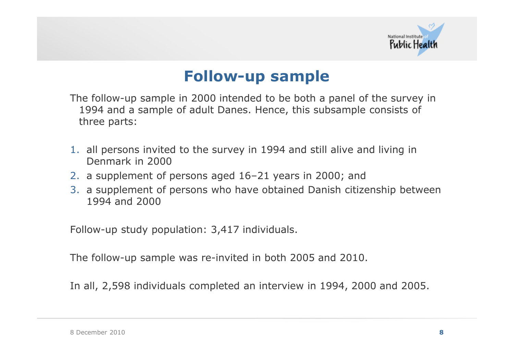

# **Follow-up sample**

The follow-up sample in 2000 intended to be both a panel of the survey in 1994 and a sample of adult Danes. Hence, this subsample consists of three parts:

- 1. all persons invited to the survey in 1994 and still alive and living in Denmark in 2000
- 2. a supplement of persons aged 16–21 years in 2000; and
- 3. a supplement of persons who have obtained Danish citizenship between 1994 and 2000

Follow-up study population: 3,417 individuals.

The follow-up sample was re-invited in both 2005 and 2010.

In all, 2,598 individuals completed an interview in 1994, 2000 and 2005.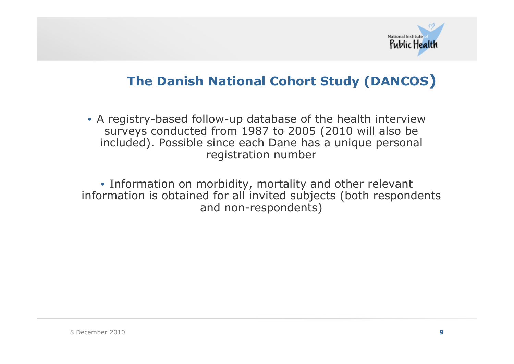

## **The Danish National Cohort Study (DANCOS)**

• A registry-based follow-up database of the health interview surveys conducted from 1987 to 2005 (2010 will also be included). Possible since each Dane has a unique personal registration number

• Information on morbidity, mortality and other relevant information is obtained for all invited subjects (both respondents and non-respondents)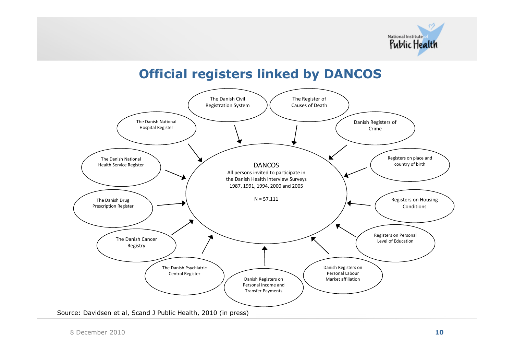

#### **Official registers linked by DANCOS**

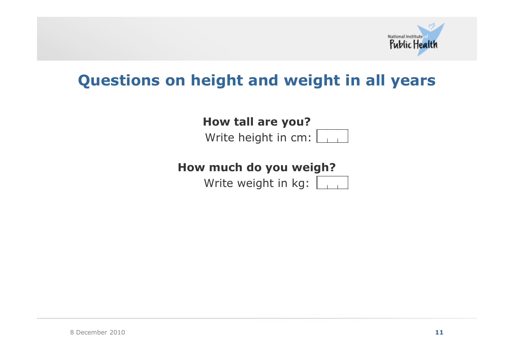

# **Questions on height and weight in all years**

**How tall are you?**

Write height in cm:

**How much do you weigh?**

Write weight in kg: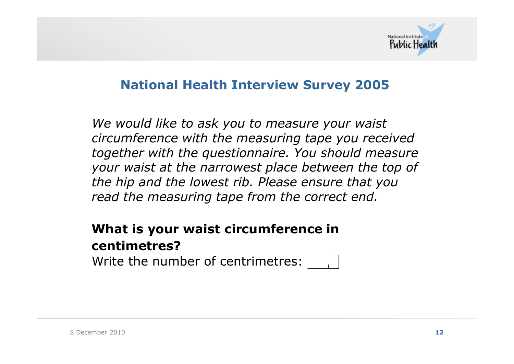

#### **National Health Interview Survey 2005**

*We would like to ask you to measure your waist circumference with the measuring tape you received together with the questionnaire. You should measure your waist at the narrowest place between the top of the hip and the lowest rib. Please ensure that you read the measuring tape from the correct end.* 

## **What is your waist circumference in centimetres?**

Write the number of centrimetres: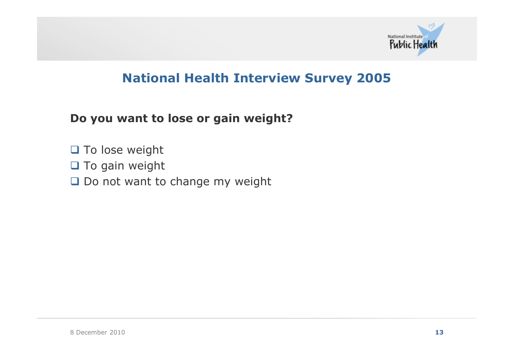

### **National Health Interview Survey 2005**

**Do you want to lose or gain weight?**

- □ To lose weight
- $\Box$  To gain weight
- Do not want to change my weight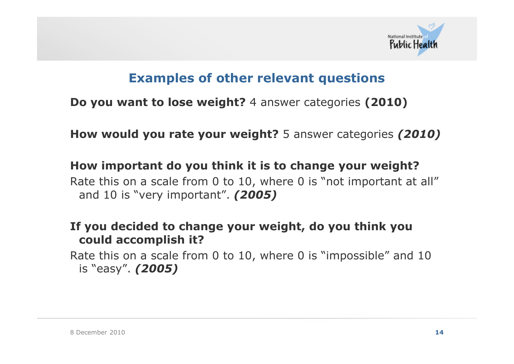

### **Examples of other relevant questions**

**Do you want to lose weight?** 4 answer categories **(2010)**

**How would you rate your weight?** 5 answer categories *(2010)*

**How important do you think it is to change your weight?** Rate this on a scale from 0 to 10, where 0 is "not important at all" and 10 is "very important". *(2005)*

**If you decided to change your weight, do you think you could accomplish it?**

Rate this on a scale from 0 to 10, where 0 is "impossible" and 10 is "easy". *(2005)*